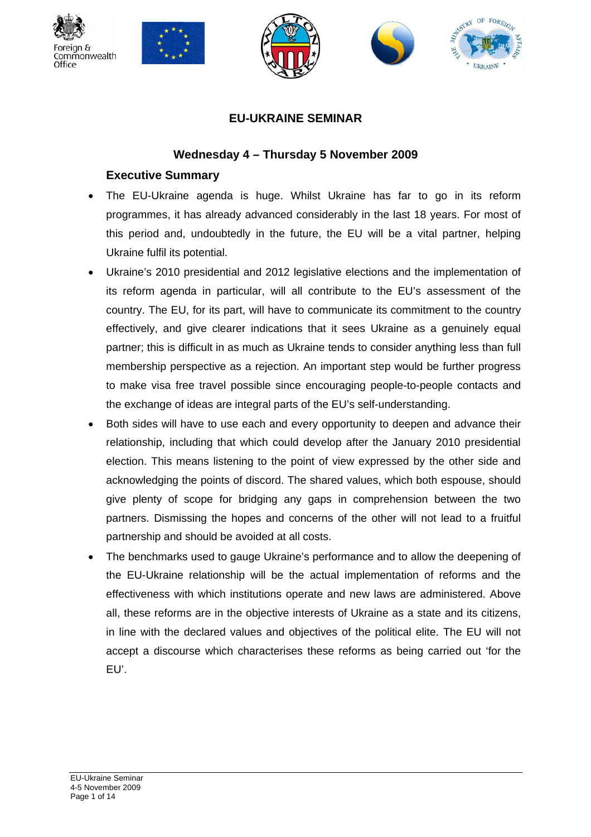









## **EU-UKRAINE SEMINAR**

#### **Wednesday 4 – Thursday 5 November 2009**

## **Executive Summary**

- The EU-Ukraine agenda is huge. Whilst Ukraine has far to go in its reform programmes, it has already advanced considerably in the last 18 years. For most of this period and, undoubtedly in the future, the EU will be a vital partner, helping Ukraine fulfil its potential.
- Ukraine's 2010 presidential and 2012 legislative elections and the implementation of its reform agenda in particular, will all contribute to the EU's assessment of the country. The EU, for its part, will have to communicate its commitment to the country effectively, and give clearer indications that it sees Ukraine as a genuinely equal partner; this is difficult in as much as Ukraine tends to consider anything less than full membership perspective as a rejection. An important step would be further progress to make visa free travel possible since encouraging people-to-people contacts and the exchange of ideas are integral parts of the EU's self-understanding.
- Both sides will have to use each and every opportunity to deepen and advance their relationship, including that which could develop after the January 2010 presidential election. This means listening to the point of view expressed by the other side and acknowledging the points of discord. The shared values, which both espouse, should give plenty of scope for bridging any gaps in comprehension between the two partners. Dismissing the hopes and concerns of the other will not lead to a fruitful partnership and should be avoided at all costs.
- The benchmarks used to gauge Ukraine's performance and to allow the deepening of the EU-Ukraine relationship will be the actual implementation of reforms and the effectiveness with which institutions operate and new laws are administered. Above all, these reforms are in the objective interests of Ukraine as a state and its citizens, in line with the declared values and objectives of the political elite. The EU will not accept a discourse which characterises these reforms as being carried out 'for the EU'.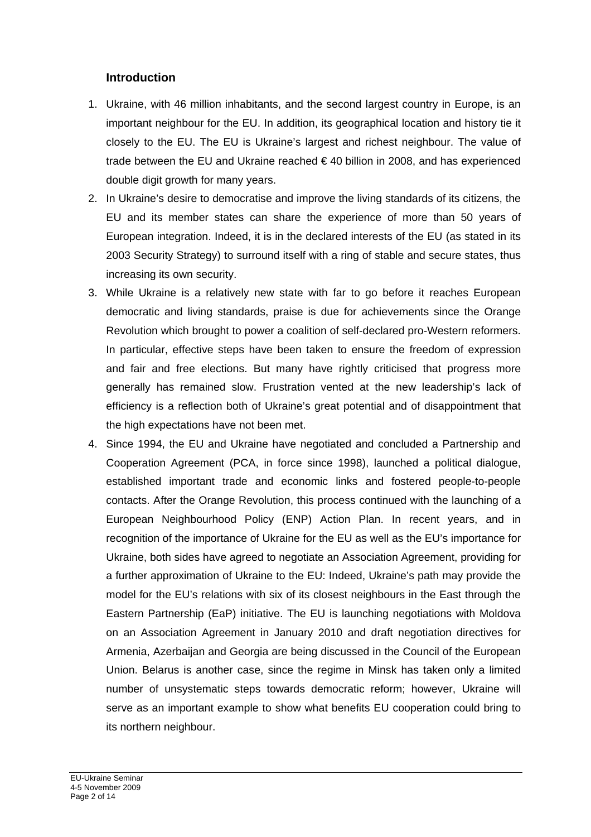### **Introduction**

- 1. Ukraine, with 46 million inhabitants, and the second largest country in Europe, is an important neighbour for the EU. In addition, its geographical location and history tie it closely to the EU. The EU is Ukraine's largest and richest neighbour. The value of trade between the EU and Ukraine reached € 40 billion in 2008, and has experienced double digit growth for many years.
- 2. In Ukraine's desire to democratise and improve the living standards of its citizens, the EU and its member states can share the experience of more than 50 years of European integration. Indeed, it is in the declared interests of the EU (as stated in its 2003 Security Strategy) to surround itself with a ring of stable and secure states, thus increasing its own security.
- 3. While Ukraine is a relatively new state with far to go before it reaches European democratic and living standards, praise is due for achievements since the Orange Revolution which brought to power a coalition of self-declared pro-Western reformers. In particular, effective steps have been taken to ensure the freedom of expression and fair and free elections. But many have rightly criticised that progress more generally has remained slow. Frustration vented at the new leadership's lack of efficiency is a reflection both of Ukraine's great potential and of disappointment that the high expectations have not been met.
- 4. Since 1994, the EU and Ukraine have negotiated and concluded a Partnership and Cooperation Agreement (PCA, in force since 1998), launched a political dialogue, established important trade and economic links and fostered people-to-people contacts. After the Orange Revolution, this process continued with the launching of a European Neighbourhood Policy (ENP) Action Plan. In recent years, and in recognition of the importance of Ukraine for the EU as well as the EU's importance for Ukraine, both sides have agreed to negotiate an Association Agreement, providing for a further approximation of Ukraine to the EU: Indeed, Ukraine's path may provide the model for the EU's relations with six of its closest neighbours in the East through the Eastern Partnership (EaP) initiative. The EU is launching negotiations with Moldova on an Association Agreement in January 2010 and draft negotiation directives for Armenia, Azerbaijan and Georgia are being discussed in the Council of the European Union. Belarus is another case, since the regime in Minsk has taken only a limited number of unsystematic steps towards democratic reform; however, Ukraine will serve as an important example to show what benefits EU cooperation could bring to its northern neighbour.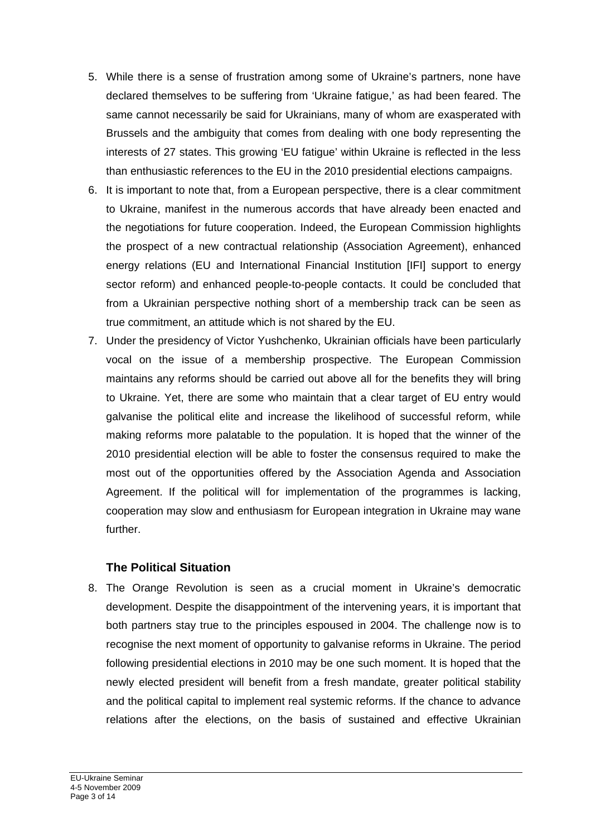- 5. While there is a sense of frustration among some of Ukraine's partners, none have declared themselves to be suffering from 'Ukraine fatigue,' as had been feared. The same cannot necessarily be said for Ukrainians, many of whom are exasperated with Brussels and the ambiguity that comes from dealing with one body representing the interests of 27 states. This growing 'EU fatigue' within Ukraine is reflected in the less than enthusiastic references to the EU in the 2010 presidential elections campaigns.
- 6. It is important to note that, from a European perspective, there is a clear commitment to Ukraine, manifest in the numerous accords that have already been enacted and the negotiations for future cooperation. Indeed, the European Commission highlights the prospect of a new contractual relationship (Association Agreement), enhanced energy relations (EU and International Financial Institution [IFI] support to energy sector reform) and enhanced people-to-people contacts. It could be concluded that from a Ukrainian perspective nothing short of a membership track can be seen as true commitment, an attitude which is not shared by the EU.
- 7. Under the presidency of Victor Yushchenko, Ukrainian officials have been particularly vocal on the issue of a membership prospective. The European Commission maintains any reforms should be carried out above all for the benefits they will bring to Ukraine. Yet, there are some who maintain that a clear target of EU entry would galvanise the political elite and increase the likelihood of successful reform, while making reforms more palatable to the population. It is hoped that the winner of the 2010 presidential election will be able to foster the consensus required to make the most out of the opportunities offered by the Association Agenda and Association Agreement. If the political will for implementation of the programmes is lacking, cooperation may slow and enthusiasm for European integration in Ukraine may wane further.

### **The Political Situation**

8. The Orange Revolution is seen as a crucial moment in Ukraine's democratic development. Despite the disappointment of the intervening years, it is important that both partners stay true to the principles espoused in 2004. The challenge now is to recognise the next moment of opportunity to galvanise reforms in Ukraine. The period following presidential elections in 2010 may be one such moment. It is hoped that the newly elected president will benefit from a fresh mandate, greater political stability and the political capital to implement real systemic reforms. If the chance to advance relations after the elections, on the basis of sustained and effective Ukrainian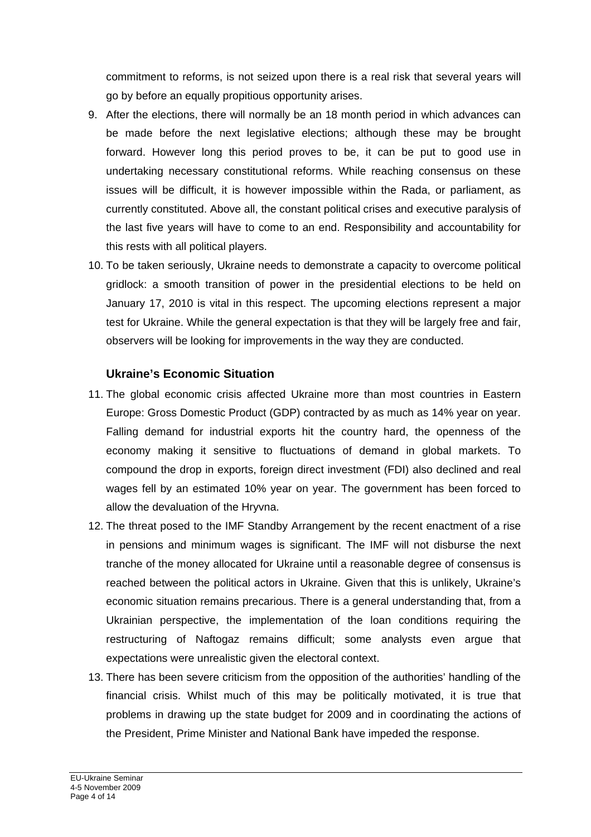commitment to reforms, is not seized upon there is a real risk that several years will go by before an equally propitious opportunity arises.

- 9. After the elections, there will normally be an 18 month period in which advances can be made before the next legislative elections; although these may be brought forward. However long this period proves to be, it can be put to good use in undertaking necessary constitutional reforms. While reaching consensus on these issues will be difficult, it is however impossible within the Rada, or parliament, as currently constituted. Above all, the constant political crises and executive paralysis of the last five years will have to come to an end. Responsibility and accountability for this rests with all political players.
- 10. To be taken seriously, Ukraine needs to demonstrate a capacity to overcome political gridlock: a smooth transition of power in the presidential elections to be held on January 17, 2010 is vital in this respect. The upcoming elections represent a major test for Ukraine. While the general expectation is that they will be largely free and fair, observers will be looking for improvements in the way they are conducted.

### **Ukraine's Economic Situation**

- 11. The global economic crisis affected Ukraine more than most countries in Eastern Europe: Gross Domestic Product (GDP) contracted by as much as 14% year on year. Falling demand for industrial exports hit the country hard, the openness of the economy making it sensitive to fluctuations of demand in global markets. To compound the drop in exports, foreign direct investment (FDI) also declined and real wages fell by an estimated 10% year on year. The government has been forced to allow the devaluation of the Hryvna.
- 12. The threat posed to the IMF Standby Arrangement by the recent enactment of a rise in pensions and minimum wages is significant. The IMF will not disburse the next tranche of the money allocated for Ukraine until a reasonable degree of consensus is reached between the political actors in Ukraine. Given that this is unlikely, Ukraine's economic situation remains precarious. There is a general understanding that, from a Ukrainian perspective, the implementation of the loan conditions requiring the restructuring of Naftogaz remains difficult; some analysts even argue that expectations were unrealistic given the electoral context.
- 13. There has been severe criticism from the opposition of the authorities' handling of the financial crisis. Whilst much of this may be politically motivated, it is true that problems in drawing up the state budget for 2009 and in coordinating the actions of the President, Prime Minister and National Bank have impeded the response.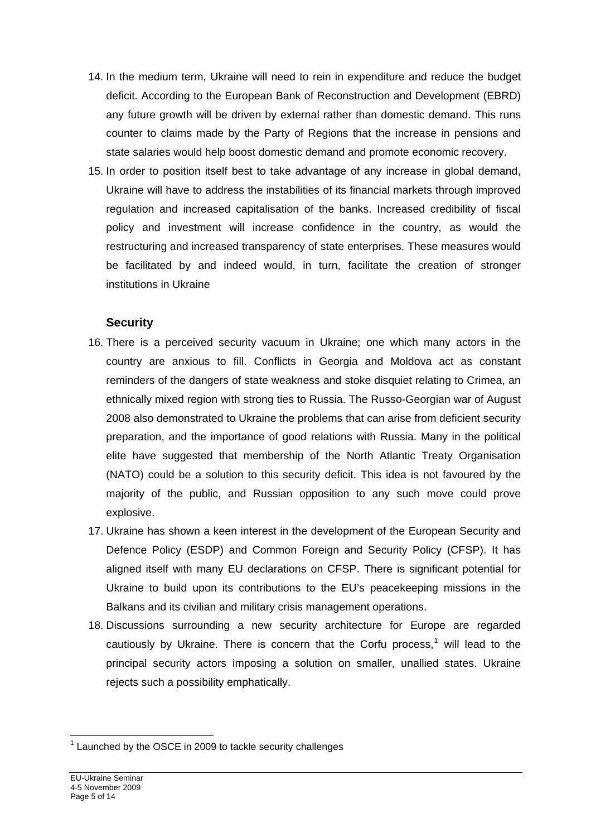- 14. In the medium term, Ukraine will need to rein in expenditure and reduce the budget deficit. According to the European Bank of Reconstruction and Development (EBRD) any future growth will be driven by external rather than domestic demand. This runs counter to claims made by the Party of Regions that the increase in pensions and state salaries would help boost domestic demand and promote economic recovery.
- 15. In order to position itself best to take advantage of any increase in global demand, Ukraine will have to address the instabilities of its financial markets through improved regulation and increased capitalisation of the banks. Increased credibility of fiscal policy and investment will increase confidence in the country, as would the restructuring and increased transparency of state enterprises. These measures would be facilitated by and indeed would, in turn, facilitate the creation of stronger institutions in Ukraine

# **Security**

- 16. There is a perceived security vacuum in Ukraine; one which many actors in the country are anxious to fill. Conflicts in Georgia and Moldova act as constant reminders of the dangers of state weakness and stoke disquiet relating to Crimea, an ethnically mixed region with strong ties to Russia. The Russo-Georgian war of August 2008 also demonstrated to Ukraine the problems that can arise from deficient security preparation, and the importance of good relations with Russia. Many in the political elite have suggested that membership of the North Atlantic Treaty Organisation (NATO) could be a solution to this security deficit. This idea is not favoured by the majority of the public, and Russian opposition to any such move could prove explosive.
- 17. Ukraine has shown a keen interest in the development of the European Security and Defence Policy (ESDP) and Common Foreign and Security Policy (CFSP). It has aligned itself with many EU declarations on CFSP. There is significant potential for Ukraine to build upon its contributions to the EU's peacekeeping missions in the Balkans and its civilian and military crisis management operations.
- 18. Discussions surrounding a new security architecture for Europe are regarded cautiously by Ukraine. There is concern that the Corfu process,<sup>[1](#page-4-0)</sup> will lead to the principal security actors imposing a solution on smaller, unallied states. Ukraine rejects such a possibility emphatically.

<span id="page-4-0"></span>l  $1$  Launched by the OSCE in 2009 to tackle security challenges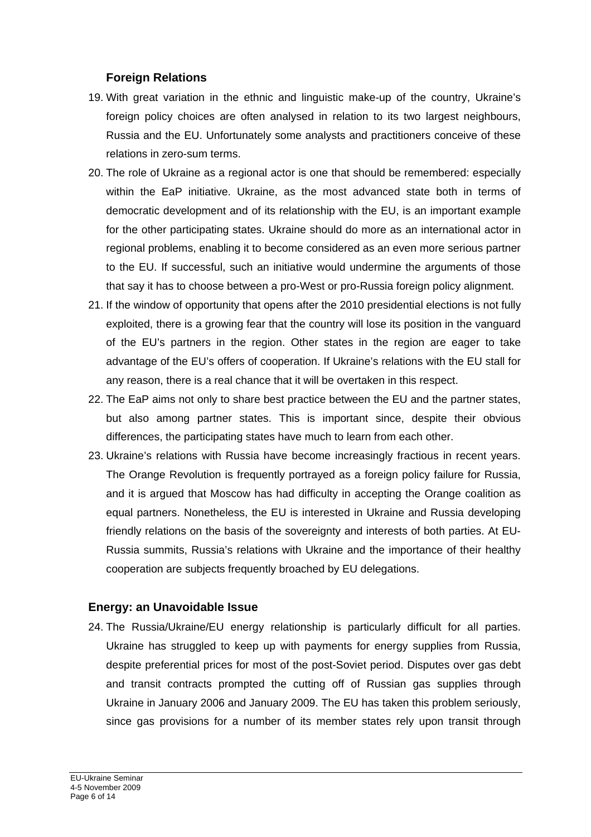## **Foreign Relations**

- 19. With great variation in the ethnic and linguistic make-up of the country, Ukraine's foreign policy choices are often analysed in relation to its two largest neighbours, Russia and the EU. Unfortunately some analysts and practitioners conceive of these relations in zero-sum terms.
- 20. The role of Ukraine as a regional actor is one that should be remembered: especially within the EaP initiative. Ukraine, as the most advanced state both in terms of democratic development and of its relationship with the EU, is an important example for the other participating states. Ukraine should do more as an international actor in regional problems, enabling it to become considered as an even more serious partner to the EU. If successful, such an initiative would undermine the arguments of those that say it has to choose between a pro-West or pro-Russia foreign policy alignment.
- 21. If the window of opportunity that opens after the 2010 presidential elections is not fully exploited, there is a growing fear that the country will lose its position in the vanguard of the EU's partners in the region. Other states in the region are eager to take advantage of the EU's offers of cooperation. If Ukraine's relations with the EU stall for any reason, there is a real chance that it will be overtaken in this respect.
- 22. The EaP aims not only to share best practice between the EU and the partner states, but also among partner states. This is important since, despite their obvious differences, the participating states have much to learn from each other.
- 23. Ukraine's relations with Russia have become increasingly fractious in recent years. The Orange Revolution is frequently portrayed as a foreign policy failure for Russia, and it is argued that Moscow has had difficulty in accepting the Orange coalition as equal partners. Nonetheless, the EU is interested in Ukraine and Russia developing friendly relations on the basis of the sovereignty and interests of both parties. At EU-Russia summits, Russia's relations with Ukraine and the importance of their healthy cooperation are subjects frequently broached by EU delegations.

### **Energy: an Unavoidable Issue**

24. The Russia/Ukraine/EU energy relationship is particularly difficult for all parties. Ukraine has struggled to keep up with payments for energy supplies from Russia, despite preferential prices for most of the post-Soviet period. Disputes over gas debt and transit contracts prompted the cutting off of Russian gas supplies through Ukraine in January 2006 and January 2009. The EU has taken this problem seriously, since gas provisions for a number of its member states rely upon transit through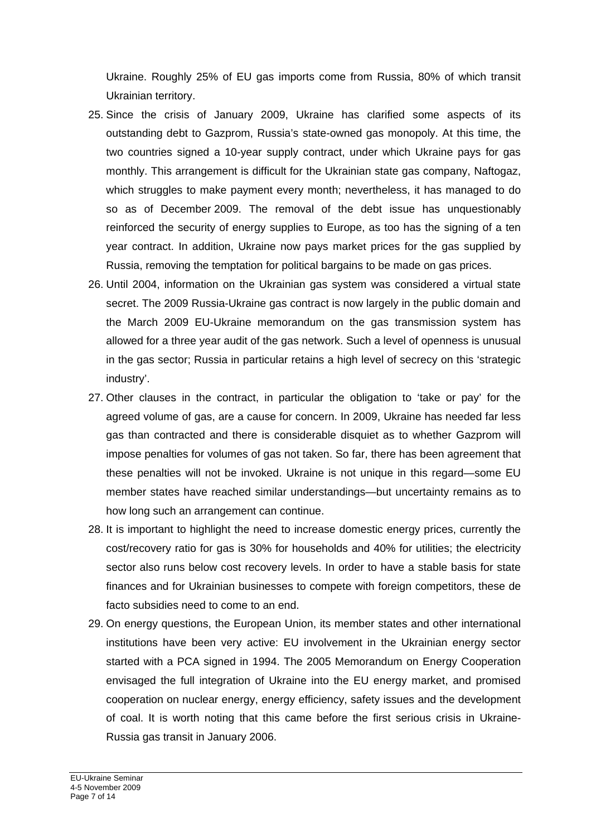Ukraine. Roughly 25% of EU gas imports come from Russia, 80% of which transit Ukrainian territory.

- 25. Since the crisis of January 2009, Ukraine has clarified some aspects of its outstanding debt to Gazprom, Russia's state-owned gas monopoly. At this time, the two countries signed a 10-year supply contract, under which Ukraine pays for gas monthly. This arrangement is difficult for the Ukrainian state gas company, Naftogaz, which struggles to make payment every month; nevertheless, it has managed to do so as of December 2009. The removal of the debt issue has unquestionably reinforced the security of energy supplies to Europe, as too has the signing of a ten year contract. In addition, Ukraine now pays market prices for the gas supplied by Russia, removing the temptation for political bargains to be made on gas prices.
- 26. Until 2004, information on the Ukrainian gas system was considered a virtual state secret. The 2009 Russia-Ukraine gas contract is now largely in the public domain and the March 2009 EU-Ukraine memorandum on the gas transmission system has allowed for a three year audit of the gas network. Such a level of openness is unusual in the gas sector; Russia in particular retains a high level of secrecy on this 'strategic industry'.
- 27. Other clauses in the contract, in particular the obligation to 'take or pay' for the agreed volume of gas, are a cause for concern. In 2009, Ukraine has needed far less gas than contracted and there is considerable disquiet as to whether Gazprom will impose penalties for volumes of gas not taken. So far, there has been agreement that these penalties will not be invoked. Ukraine is not unique in this regard—some EU member states have reached similar understandings—but uncertainty remains as to how long such an arrangement can continue.
- 28. It is important to highlight the need to increase domestic energy prices, currently the cost/recovery ratio for gas is 30% for households and 40% for utilities; the electricity sector also runs below cost recovery levels. In order to have a stable basis for state finances and for Ukrainian businesses to compete with foreign competitors, these de facto subsidies need to come to an end.
- 29. On energy questions, the European Union, its member states and other international institutions have been very active: EU involvement in the Ukrainian energy sector started with a PCA signed in 1994. The 2005 Memorandum on Energy Cooperation envisaged the full integration of Ukraine into the EU energy market, and promised cooperation on nuclear energy, energy efficiency, safety issues and the development of coal. It is worth noting that this came before the first serious crisis in Ukraine-Russia gas transit in January 2006.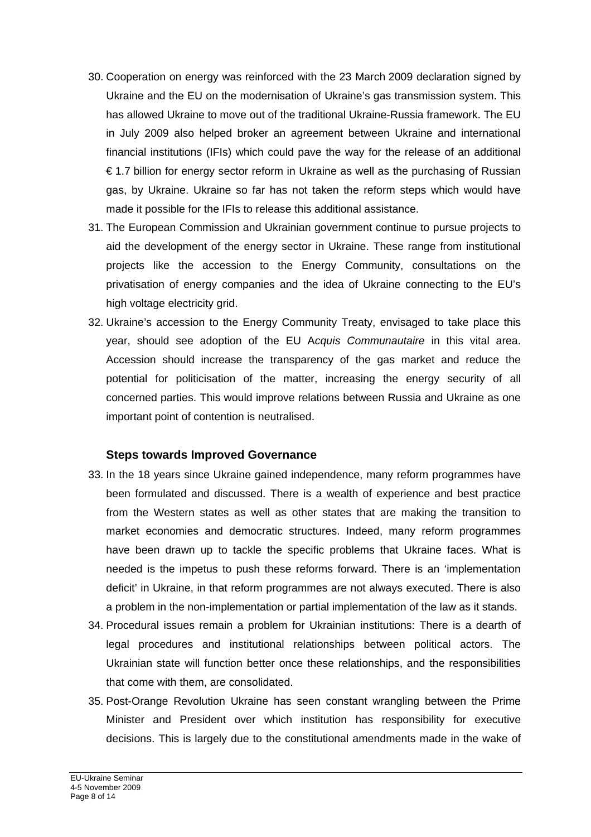- 30. Cooperation on energy was reinforced with the 23 March 2009 declaration signed by Ukraine and the EU on the modernisation of Ukraine's gas transmission system. This has allowed Ukraine to move out of the traditional Ukraine-Russia framework. The EU in July 2009 also helped broker an agreement between Ukraine and international financial institutions (IFIs) which could pave the way for the release of an additional € 1.7 billion for energy sector reform in Ukraine as well as the purchasing of Russian gas, by Ukraine. Ukraine so far has not taken the reform steps which would have made it possible for the IFIs to release this additional assistance.
- 31. The European Commission and Ukrainian government continue to pursue projects to aid the development of the energy sector in Ukraine. These range from institutional projects like the accession to the Energy Community, consultations on the privatisation of energy companies and the idea of Ukraine connecting to the EU's high voltage electricity grid.
- 32. Ukraine's accession to the Energy Community Treaty, envisaged to take place this year, should see adoption of the EU A*cquis Communautaire* in this vital area. Accession should increase the transparency of the gas market and reduce the potential for politicisation of the matter, increasing the energy security of all concerned parties. This would improve relations between Russia and Ukraine as one important point of contention is neutralised.

### **Steps towards Improved Governance**

- 33. In the 18 years since Ukraine gained independence, many reform programmes have been formulated and discussed. There is a wealth of experience and best practice from the Western states as well as other states that are making the transition to market economies and democratic structures. Indeed, many reform programmes have been drawn up to tackle the specific problems that Ukraine faces. What is needed is the impetus to push these reforms forward. There is an 'implementation deficit' in Ukraine, in that reform programmes are not always executed. There is also a problem in the non-implementation or partial implementation of the law as it stands.
- 34. Procedural issues remain a problem for Ukrainian institutions: There is a dearth of legal procedures and institutional relationships between political actors. The Ukrainian state will function better once these relationships, and the responsibilities that come with them, are consolidated.
- 35. Post-Orange Revolution Ukraine has seen constant wrangling between the Prime Minister and President over which institution has responsibility for executive decisions. This is largely due to the constitutional amendments made in the wake of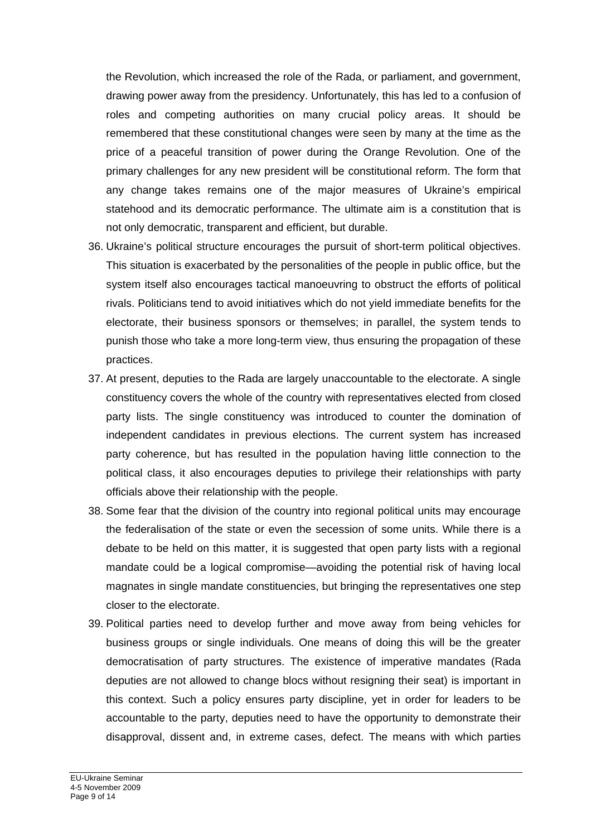the Revolution, which increased the role of the Rada, or parliament, and government, drawing power away from the presidency. Unfortunately, this has led to a confusion of roles and competing authorities on many crucial policy areas. It should be remembered that these constitutional changes were seen by many at the time as the price of a peaceful transition of power during the Orange Revolution. One of the primary challenges for any new president will be constitutional reform. The form that any change takes remains one of the major measures of Ukraine's empirical statehood and its democratic performance. The ultimate aim is a constitution that is not only democratic, transparent and efficient, but durable.

- 36. Ukraine's political structure encourages the pursuit of short-term political objectives. This situation is exacerbated by the personalities of the people in public office, but the system itself also encourages tactical manoeuvring to obstruct the efforts of political rivals. Politicians tend to avoid initiatives which do not yield immediate benefits for the electorate, their business sponsors or themselves; in parallel, the system tends to punish those who take a more long-term view, thus ensuring the propagation of these practices.
- 37. At present, deputies to the Rada are largely unaccountable to the electorate. A single constituency covers the whole of the country with representatives elected from closed party lists. The single constituency was introduced to counter the domination of independent candidates in previous elections. The current system has increased party coherence, but has resulted in the population having little connection to the political class, it also encourages deputies to privilege their relationships with party officials above their relationship with the people.
- 38. Some fear that the division of the country into regional political units may encourage the federalisation of the state or even the secession of some units. While there is a debate to be held on this matter, it is suggested that open party lists with a regional mandate could be a logical compromise—avoiding the potential risk of having local magnates in single mandate constituencies, but bringing the representatives one step closer to the electorate.
- 39. Political parties need to develop further and move away from being vehicles for business groups or single individuals. One means of doing this will be the greater democratisation of party structures. The existence of imperative mandates (Rada deputies are not allowed to change blocs without resigning their seat) is important in this context. Such a policy ensures party discipline, yet in order for leaders to be accountable to the party, deputies need to have the opportunity to demonstrate their disapproval, dissent and, in extreme cases, defect. The means with which parties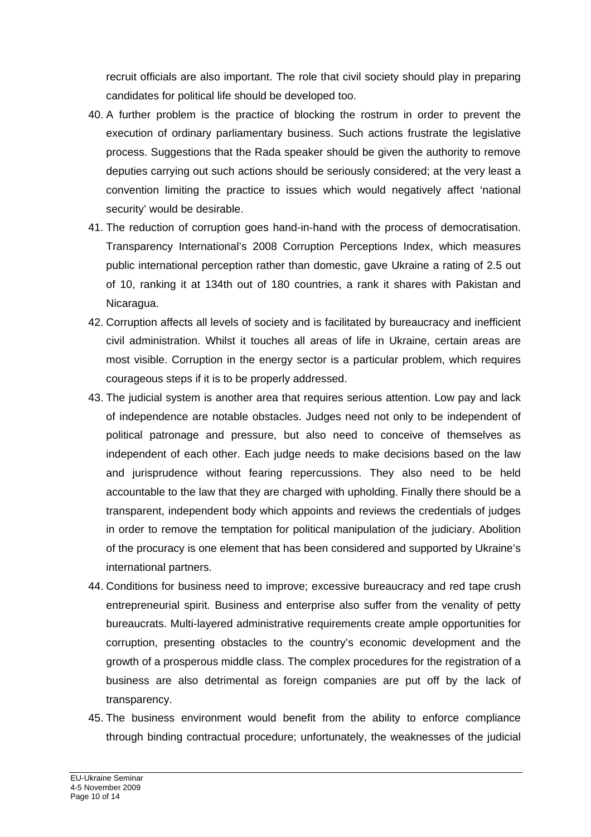recruit officials are also important. The role that civil society should play in preparing candidates for political life should be developed too.

- 40. A further problem is the practice of blocking the rostrum in order to prevent the execution of ordinary parliamentary business. Such actions frustrate the legislative process. Suggestions that the Rada speaker should be given the authority to remove deputies carrying out such actions should be seriously considered; at the very least a convention limiting the practice to issues which would negatively affect 'national security' would be desirable.
- 41. The reduction of corruption goes hand-in-hand with the process of democratisation. Transparency International's 2008 Corruption Perceptions Index, which measures public international perception rather than domestic, gave Ukraine a rating of 2.5 out of 10, ranking it at 134th out of 180 countries, a rank it shares with Pakistan and Nicaragua.
- 42. Corruption affects all levels of society and is facilitated by bureaucracy and inefficient civil administration. Whilst it touches all areas of life in Ukraine, certain areas are most visible. Corruption in the energy sector is a particular problem, which requires courageous steps if it is to be properly addressed.
- 43. The judicial system is another area that requires serious attention. Low pay and lack of independence are notable obstacles. Judges need not only to be independent of political patronage and pressure, but also need to conceive of themselves as independent of each other. Each judge needs to make decisions based on the law and jurisprudence without fearing repercussions. They also need to be held accountable to the law that they are charged with upholding. Finally there should be a transparent, independent body which appoints and reviews the credentials of judges in order to remove the temptation for political manipulation of the judiciary. Abolition of the procuracy is one element that has been considered and supported by Ukraine's international partners.
- 44. Conditions for business need to improve; excessive bureaucracy and red tape crush entrepreneurial spirit. Business and enterprise also suffer from the venality of petty bureaucrats. Multi-layered administrative requirements create ample opportunities for corruption, presenting obstacles to the country's economic development and the growth of a prosperous middle class. The complex procedures for the registration of a business are also detrimental as foreign companies are put off by the lack of transparency.
- 45. The business environment would benefit from the ability to enforce compliance through binding contractual procedure; unfortunately, the weaknesses of the judicial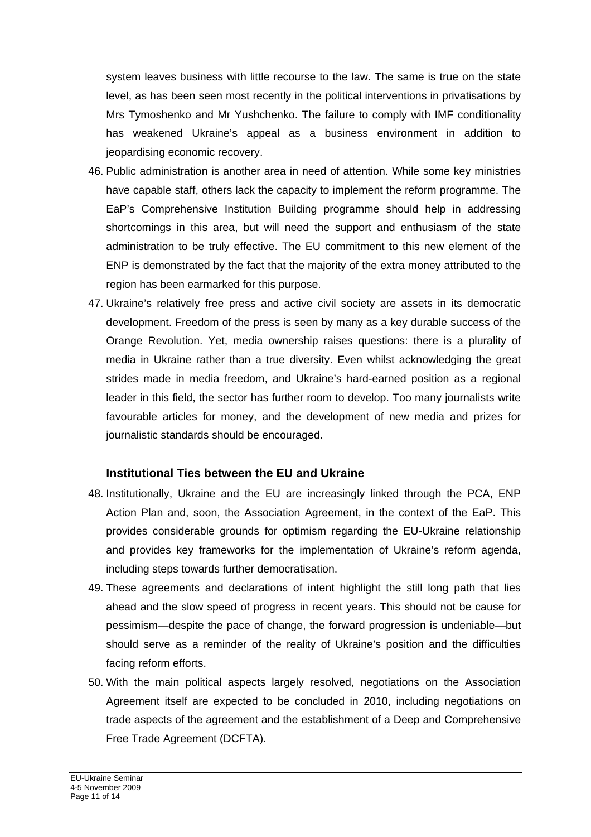system leaves business with little recourse to the law. The same is true on the state level, as has been seen most recently in the political interventions in privatisations by Mrs Tymoshenko and Mr Yushchenko. The failure to comply with IMF conditionality has weakened Ukraine's appeal as a business environment in addition to jeopardising economic recovery.

- 46. Public administration is another area in need of attention. While some key ministries have capable staff, others lack the capacity to implement the reform programme. The EaP's Comprehensive Institution Building programme should help in addressing shortcomings in this area, but will need the support and enthusiasm of the state administration to be truly effective. The EU commitment to this new element of the ENP is demonstrated by the fact that the majority of the extra money attributed to the region has been earmarked for this purpose.
- 47. Ukraine's relatively free press and active civil society are assets in its democratic development. Freedom of the press is seen by many as a key durable success of the Orange Revolution. Yet, media ownership raises questions: there is a plurality of media in Ukraine rather than a true diversity. Even whilst acknowledging the great strides made in media freedom, and Ukraine's hard-earned position as a regional leader in this field, the sector has further room to develop. Too many journalists write favourable articles for money, and the development of new media and prizes for journalistic standards should be encouraged.

### **Institutional Ties between the EU and Ukraine**

- 48. Institutionally, Ukraine and the EU are increasingly linked through the PCA, ENP Action Plan and, soon, the Association Agreement, in the context of the EaP. This provides considerable grounds for optimism regarding the EU-Ukraine relationship and provides key frameworks for the implementation of Ukraine's reform agenda, including steps towards further democratisation.
- 49. These agreements and declarations of intent highlight the still long path that lies ahead and the slow speed of progress in recent years. This should not be cause for pessimism—despite the pace of change, the forward progression is undeniable—but should serve as a reminder of the reality of Ukraine's position and the difficulties facing reform efforts.
- 50. With the main political aspects largely resolved, negotiations on the Association Agreement itself are expected to be concluded in 2010, including negotiations on trade aspects of the agreement and the establishment of a Deep and Comprehensive Free Trade Agreement (DCFTA).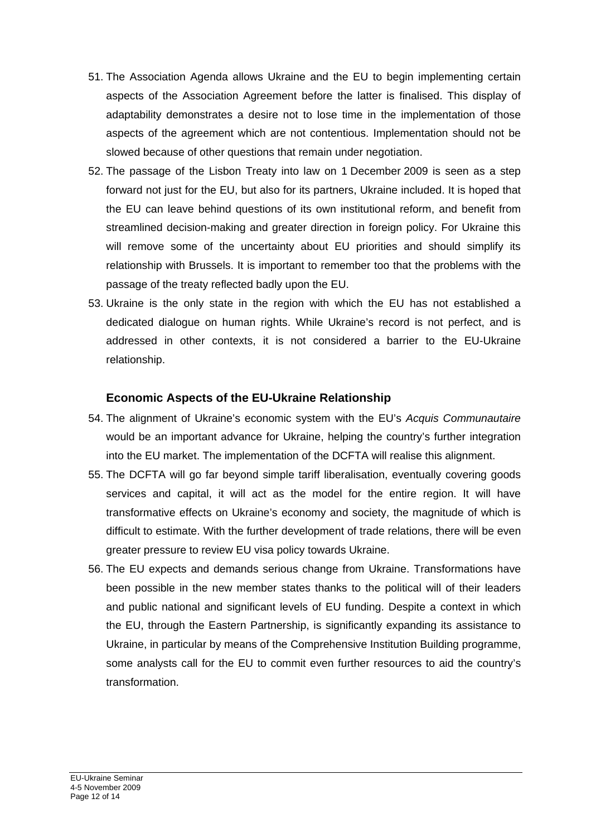- 51. The Association Agenda allows Ukraine and the EU to begin implementing certain aspects of the Association Agreement before the latter is finalised. This display of adaptability demonstrates a desire not to lose time in the implementation of those aspects of the agreement which are not contentious. Implementation should not be slowed because of other questions that remain under negotiation.
- 52. The passage of the Lisbon Treaty into law on 1 December 2009 is seen as a step forward not just for the EU, but also for its partners, Ukraine included. It is hoped that the EU can leave behind questions of its own institutional reform, and benefit from streamlined decision-making and greater direction in foreign policy. For Ukraine this will remove some of the uncertainty about EU priorities and should simplify its relationship with Brussels. It is important to remember too that the problems with the passage of the treaty reflected badly upon the EU.
- 53. Ukraine is the only state in the region with which the EU has not established a dedicated dialogue on human rights. While Ukraine's record is not perfect, and is addressed in other contexts, it is not considered a barrier to the EU-Ukraine relationship.

# **Economic Aspects of the EU-Ukraine Relationship**

- 54. The alignment of Ukraine's economic system with the EU's *Acquis Communautaire* would be an important advance for Ukraine, helping the country's further integration into the EU market. The implementation of the DCFTA will realise this alignment.
- 55. The DCFTA will go far beyond simple tariff liberalisation, eventually covering goods services and capital, it will act as the model for the entire region. It will have transformative effects on Ukraine's economy and society, the magnitude of which is difficult to estimate. With the further development of trade relations, there will be even greater pressure to review EU visa policy towards Ukraine.
- 56. The EU expects and demands serious change from Ukraine. Transformations have been possible in the new member states thanks to the political will of their leaders and public national and significant levels of EU funding. Despite a context in which the EU, through the Eastern Partnership, is significantly expanding its assistance to Ukraine, in particular by means of the Comprehensive Institution Building programme, some analysts call for the EU to commit even further resources to aid the country's transformation.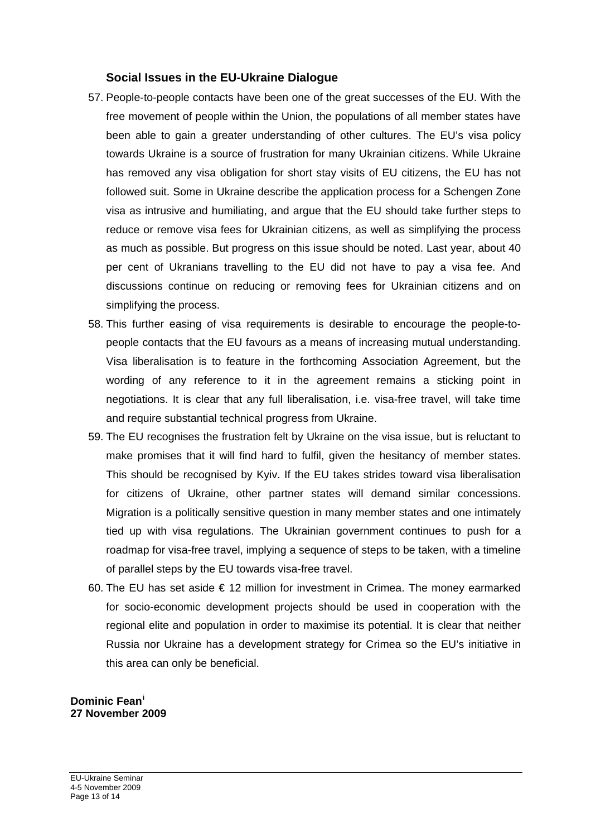#### **Social Issues in the EU-Ukraine Dialogue**

- 57. People-to-people contacts have been one of the great successes of the EU. With the free movement of people within the Union, the populations of all member states have been able to gain a greater understanding of other cultures. The EU's visa policy towards Ukraine is a source of frustration for many Ukrainian citizens. While Ukraine has removed any visa obligation for short stay visits of EU citizens, the EU has not followed suit. Some in Ukraine describe the application process for a Schengen Zone visa as intrusive and humiliating, and argue that the EU should take further steps to reduce or remove visa fees for Ukrainian citizens, as well as simplifying the process as much as possible. But progress on this issue should be noted. Last year, about 40 per cent of Ukranians travelling to the EU did not have to pay a visa fee. And discussions continue on reducing or removing fees for Ukrainian citizens and on simplifying the process.
- 58. This further easing of visa requirements is desirable to encourage the people-topeople contacts that the EU favours as a means of increasing mutual understanding. Visa liberalisation is to feature in the forthcoming Association Agreement, but the wording of any reference to it in the agreement remains a sticking point in negotiations. It is clear that any full liberalisation, i.e. visa-free travel, will take time and require substantial technical progress from Ukraine.
- 59. The EU recognises the frustration felt by Ukraine on the visa issue, but is reluctant to make promises that it will find hard to fulfil, given the hesitancy of member states. This should be recognised by Kyiv. If the EU takes strides toward visa liberalisation for citizens of Ukraine, other partner states will demand similar concessions. Migration is a politically sensitive question in many member states and one intimately tied up with visa regulations. The Ukrainian government continues to push for a roadmap for visa-free travel, implying a sequence of steps to be taken, with a timeline of parallel steps by the EU towards visa-free travel.
- 60. The EU has set aside € 12 million for investment in Crimea. The money earmarked for socio-economic development projects should be used in cooperation with the regional elite and population in order to maximise its potential. It is clear that neither Russia nor Ukraine has a development strategy for Crimea so the EU's initiative in this area can only be beneficial.

#### **Dominic Fean[i](#page-13-0) 27 November 2009**